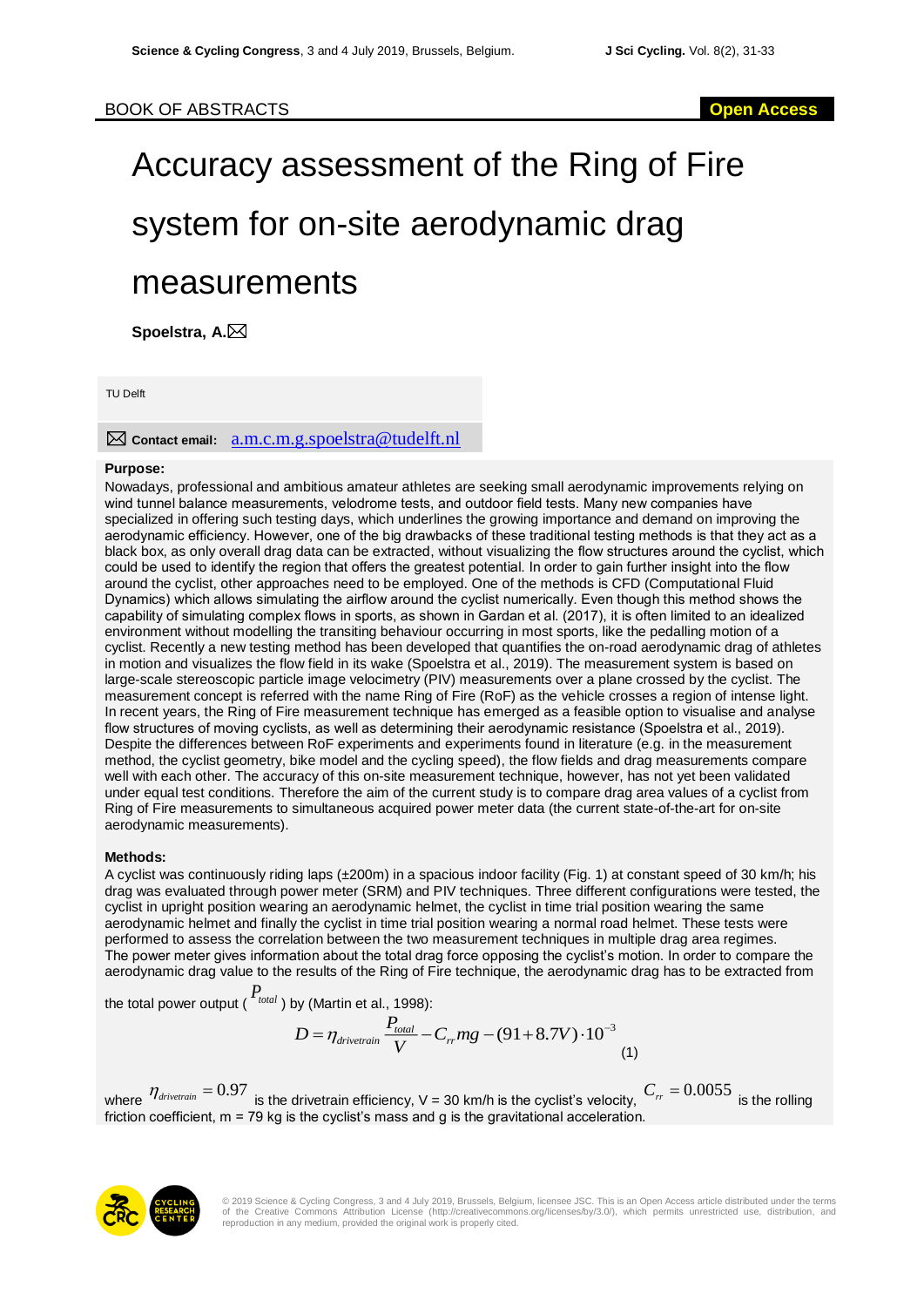# Accuracy assessment of the Ring of Fire system for on-site aerodynamic drag measurements

**Spoelstra, A.**

TU Delft

# **Contact email:** a.m.c.m.g.spoelstra@tudelft.nl

#### **Purpose:**

Nowadays, professional and ambitious amateur athletes are seeking small aerodynamic improvements relying on wind tunnel balance measurements, velodrome tests, and outdoor field tests. Many new companies have specialized in offering such testing days, which underlines the growing importance and demand on improving the aerodynamic efficiency. However, one of the big drawbacks of these traditional testing methods is that they act as a black box, as only overall drag data can be extracted, without visualizing the flow structures around the cyclist, which could be used to identify the region that offers the greatest potential. In order to gain further insight into the flow around the cyclist, other approaches need to be employed. One of the methods is CFD (Computational Fluid Dynamics) which allows simulating the airflow around the cyclist numerically. Even though this method shows the capability of simulating complex flows in sports, as shown in Gardan et al. (2017), it is often limited to an idealized environment without modelling the transiting behaviour occurring in most sports, like the pedalling motion of a cyclist. Recently a new testing method has been developed that quantifies the on-road aerodynamic drag of athletes in motion and visualizes the flow field in its wake (Spoelstra et al., 2019). The measurement system is based on large-scale stereoscopic particle image velocimetry (PIV) measurements over a plane crossed by the cyclist. The measurement concept is referred with the name Ring of Fire (RoF) as the vehicle crosses a region of intense light. In recent years, the Ring of Fire measurement technique has emerged as a feasible option to visualise and analyse flow structures of moving cyclists, as well as determining their aerodynamic resistance (Spoelstra et al., 2019). Despite the differences between RoF experiments and experiments found in literature (e.g. in the measurement method, the cyclist geometry, bike model and the cycling speed), the flow fields and drag measurements compare well with each other. The accuracy of this on-site measurement technique, however, has not yet been validated under equal test conditions. Therefore the aim of the current study is to compare drag area values of a cyclist from Ring of Fire measurements to simultaneous acquired power meter data (the current state-of-the-art for on-site aerodynamic measurements).

## **Methods:**

A cyclist was continuously riding laps (±200m) in a spacious indoor facility (Fig. 1) at constant speed of 30 km/h; his drag was evaluated through power meter (SRM) and PIV techniques. Three different configurations were tested, the cyclist in upright position wearing an aerodynamic helmet, the cyclist in time trial position wearing the same aerodynamic helmet and finally the cyclist in time trial position wearing a normal road helmet. These tests were performed to assess the correlation between the two measurement techniques in multiple drag area regimes. The power meter gives information about the total drag force opposing the cyclist's motion. In order to compare the aerodynamic drag value to the results of the Ring of Fire technique, the aerodynamic drag has to be extracted from

the total power output ( *Ptotal* ) by (Martin et al., 1998):

$$
D = \eta_{\text{divertrain}} \frac{P_{\text{total}}}{V} - C_{rr}mg - (91 + 8.7V) \cdot 10^{-3}
$$
\n(1)

where  $\eta_{\textit{divertain}} = 0.97$  is the drivetrain efficiency, V = 30 km/h is the cyclist's velocity,  $C_{rr} = 0.0055$  is the rolling friction coefficient, m = 79 kg is the cyclist's mass and g is the gravitational acceleration.

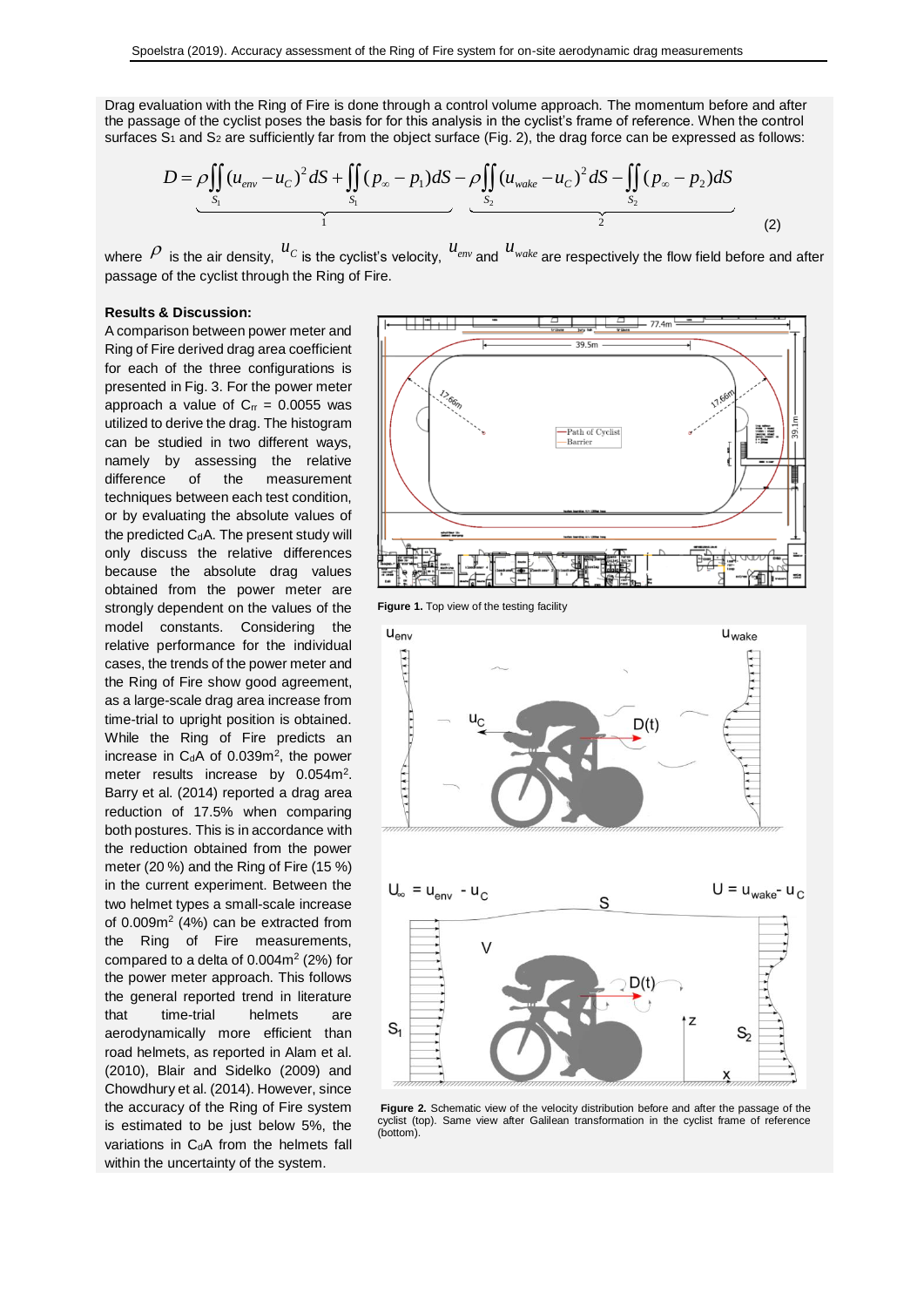Drag evaluation with the Ring of Fire is done through a control volume approach. The momentum before and after the passage of the cyclist poses the basis for for this analysis in the cyclist's frame of reference. When the control surfaces  $S_1$  and  $S_2$  are sufficiently far from the object surface (Fig. 2), the drag force can be expressed as follows:

$$
D = \underbrace{\rho \iint_{S_1} (u_{\text{env}} - u_C)^2 dS}_{1} + \underbrace{\iint_{S_1} (p_{\infty} - p_1) dS}_{2} - \underbrace{\rho \iint_{S_2} (u_{\text{wake}} - u_C)^2 dS}_{2} - \underbrace{\iint_{S_2} (p_{\infty} - p_2) dS}_{2}
$$
\n(2)

where  $P$  is the air density,  ${}^{U_C}$  is the cyclist's velocity,  ${}^{U_{env}}$  and  ${}^{U_{wake}}$  are respectively the flow field before and after passage of the cyclist through the Ring of Fire.

#### **Results & Discussion:**

A comparison between power meter and Ring of Fire derived drag area coefficient for each of the three configurations is presented in Fig. 3. For the power meter approach a value of  $C_{rr} = 0.0055$  was utilized to derive the drag. The histogram can be studied in two different ways, namely by assessing the relative difference of the measurement techniques between each test condition, or by evaluating the absolute values of the predicted  $C_dA$ . The present study will only discuss the relative differences because the absolute drag values obtained from the power meter are strongly dependent on the values of the model constants. Considering the relative performance for the individual cases, the trends of the power meter and the Ring of Fire show good agreement, as a large-scale drag area increase from time-trial to upright position is obtained. While the Ring of Fire predicts an increase in  $C_dA$  of 0.039 $m^2$ , the power meter results increase by 0.054m<sup>2</sup>. Barry et al. (2014) reported a drag area reduction of 17.5% when comparing both postures. This is in accordance with the reduction obtained from the power meter (20 %) and the Ring of Fire (15 %) in the current experiment. Between the two helmet types a small-scale increase of 0.009m<sup>2</sup> (4%) can be extracted from the Ring of Fire measurements, compared to a delta of  $0.004m^2$  (2%) for the power meter approach. This follows the general reported trend in literature that time-trial helmets are aerodynamically more efficient than road helmets, as reported in Alam et al. (2010), Blair and Sidelko (2009) and Chowdhury et al. (2014). However, since the accuracy of the Ring of Fire system is estimated to be just below 5%, the variations in C<sub>d</sub>A from the helmets fall within the uncertainty of the system.



**Figure 1.** Top view of the testing facility



**Figure 2.** Schematic view of the velocity distribution before and after the passage of the cyclist (top). Same view after Galilean transformation in the cyclist frame of reference (bottom).